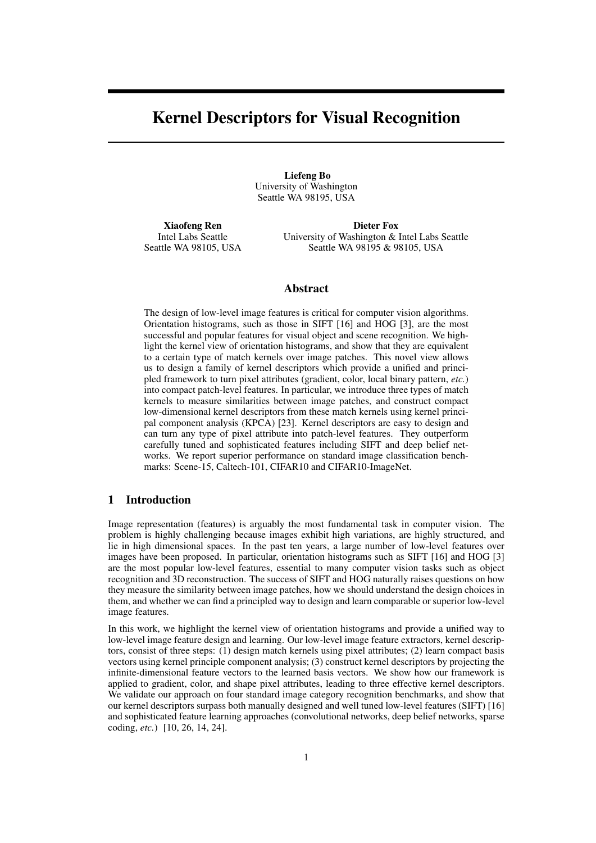# Kernel Descriptors for Visual Recognition

Liefeng Bo University of Washington Seattle WA 98195, USA

Xiaofeng Ren Intel Labs Seattle Seattle WA 98105, USA

Dieter Fox University of Washington & Intel Labs Seattle Seattle WA 98195 & 98105, USA

## Abstract

The design of low-level image features is critical for computer vision algorithms. Orientation histograms, such as those in SIFT [16] and HOG [3], are the most successful and popular features for visual object and scene recognition. We highlight the kernel view of orientation histograms, and show that they are equivalent to a certain type of match kernels over image patches. This novel view allows us to design a family of kernel descriptors which provide a unified and principled framework to turn pixel attributes (gradient, color, local binary pattern, *etc.*) into compact patch-level features. In particular, we introduce three types of match kernels to measure similarities between image patches, and construct compact low-dimensional kernel descriptors from these match kernels using kernel principal component analysis (KPCA) [23]. Kernel descriptors are easy to design and can turn any type of pixel attribute into patch-level features. They outperform carefully tuned and sophisticated features including SIFT and deep belief networks. We report superior performance on standard image classification benchmarks: Scene-15, Caltech-101, CIFAR10 and CIFAR10-ImageNet.

# 1 Introduction

Image representation (features) is arguably the most fundamental task in computer vision. The problem is highly challenging because images exhibit high variations, are highly structured, and lie in high dimensional spaces. In the past ten years, a large number of low-level features over images have been proposed. In particular, orientation histograms such as SIFT [16] and HOG [3] are the most popular low-level features, essential to many computer vision tasks such as object recognition and 3D reconstruction. The success of SIFT and HOG naturally raises questions on how they measure the similarity between image patches, how we should understand the design choices in them, and whether we can find a principled way to design and learn comparable or superior low-level image features.

In this work, we highlight the kernel view of orientation histograms and provide a unified way to low-level image feature design and learning. Our low-level image feature extractors, kernel descriptors, consist of three steps: (1) design match kernels using pixel attributes; (2) learn compact basis vectors using kernel principle component analysis; (3) construct kernel descriptors by projecting the infinite-dimensional feature vectors to the learned basis vectors. We show how our framework is applied to gradient, color, and shape pixel attributes, leading to three effective kernel descriptors. We validate our approach on four standard image category recognition benchmarks, and show that our kernel descriptors surpass both manually designed and well tuned low-level features (SIFT) [16] and sophisticated feature learning approaches (convolutional networks, deep belief networks, sparse coding, *etc.*) [10, 26, 14, 24].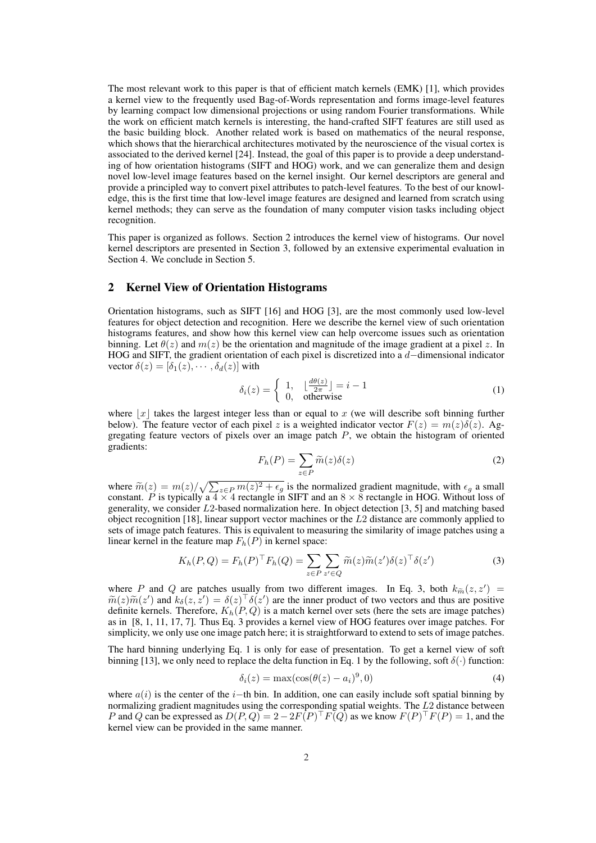The most relevant work to this paper is that of efficient match kernels (EMK) [1], which provides a kernel view to the frequently used Bag-of-Words representation and forms image-level features by learning compact low dimensional projections or using random Fourier transformations. While the work on efficient match kernels is interesting, the hand-crafted SIFT features are still used as the basic building block. Another related work is based on mathematics of the neural response, which shows that the hierarchical architectures motivated by the neuroscience of the visual cortex is associated to the derived kernel [24]. Instead, the goal of this paper is to provide a deep understanding of how orientation histograms (SIFT and HOG) work, and we can generalize them and design novel low-level image features based on the kernel insight. Our kernel descriptors are general and provide a principled way to convert pixel attributes to patch-level features. To the best of our knowledge, this is the first time that low-level image features are designed and learned from scratch using kernel methods; they can serve as the foundation of many computer vision tasks including object recognition.

This paper is organized as follows. Section 2 introduces the kernel view of histograms. Our novel kernel descriptors are presented in Section 3, followed by an extensive experimental evaluation in Section 4. We conclude in Section 5.

## 2 Kernel View of Orientation Histograms

Orientation histograms, such as SIFT [16] and HOG [3], are the most commonly used low-level features for object detection and recognition. Here we describe the kernel view of such orientation histograms features, and show how this kernel view can help overcome issues such as orientation binning. Let  $\theta(z)$  and  $m(z)$  be the orientation and magnitude of the image gradient at a pixel z. In HOG and SIFT, the gradient orientation of each pixel is discretized into a d–dimensional indicator vector  $\delta(z) = [\delta_1(z), \cdots, \delta_d(z)]$  with

$$
\delta_i(z) = \begin{cases} 1, & \left\lfloor \frac{d\theta(z)}{2\pi} \right\rfloor = i - 1 \\ 0, & \text{otherwise} \end{cases} \tag{1}
$$

where  $|x|$  takes the largest integer less than or equal to x (we will describe soft binning further below). The feature vector of each pixel z is a weighted indicator vector  $F(z) = m(z)\delta(z)$ . Aggregating feature vectors of pixels over an image patch  $P$ , we obtain the histogram of oriented gradients:

$$
F_h(P) = \sum_{z \in P} \widetilde{m}(z)\delta(z)
$$
 (2)

where  $\widetilde{m}(z) = m(z)/\sqrt{\sum}$  $\sqrt{z \epsilon_P m(z)^2 + \epsilon_g}$  is the normalized gradient magnitude, with  $\epsilon_g$  a small constant. P is typically a  $4 \times 4$  rectangle in SIFT and an  $8 \times 8$  rectangle in HOG. Without loss of generality, we consider L2-based normalization here. In object detection [3, 5] and matching based object recognition [18], linear support vector machines or the  $L2$  distance are commonly applied to sets of image patch features. This is equivalent to measuring the similarity of image patches using a linear kernel in the feature map  $F_h(P)$  in kernel space:

$$
K_h(P,Q) = F_h(P)^\top F_h(Q) = \sum_{z \in P} \sum_{z' \in Q} \widetilde{m}(z) \widetilde{m}(z') \delta(z)^\top \delta(z')
$$
(3)

where P and Q are patches usually from two different images. In Eq. 3, both  $k_{\tilde{m}}(z, z') =$  $\widetilde{m}(z)\widetilde{m}(z')$  and  $k_\delta(z, z') = \delta(z)^\top \delta(z')$  are the inner product of two vectors and thus are positive definite kernels. Therefore,  $K_h(P,Q)$  is a match kernel over sets (here the sets are image patches) as in [8, 1, 11, 17, 7]. Thus Eq. 3 provides a kernel view of HOG features over image patches. For simplicity, we only use one image patch here; it is straightforward to extend to sets of image patches.

The hard binning underlying Eq. 1 is only for ease of presentation. To get a kernel view of soft binning [13], we only need to replace the delta function in Eq. 1 by the following, soft  $\delta(\cdot)$  function:

$$
\delta_i(z) = \max(\cos(\theta(z) - a_i)^9, 0) \tag{4}
$$

where  $a(i)$  is the center of the i–th bin. In addition, one can easily include soft spatial binning by normalizing gradient magnitudes using the corresponding spatial weights. The L2 distance between P and Q can be expressed as  $D(P,Q) = 2 - 2F(P)^\top F(Q)$  as we know  $F(P)^\top F(P) = 1$ , and the kernel view can be provided in the same manner.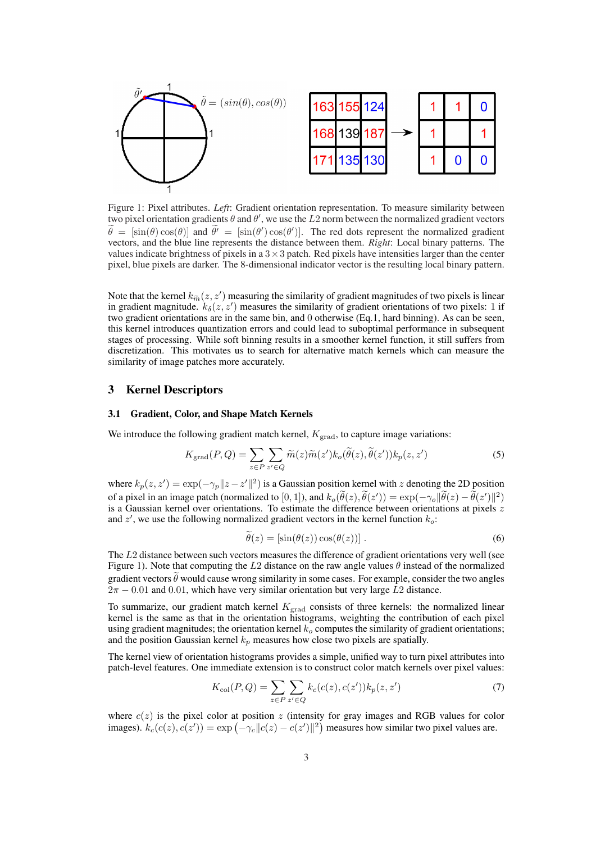

Figure 1: Pixel attributes. *Left*: Gradient orientation representation. To measure similarity between two pixel orientation gradients  $\theta$  and  $\theta'$ , we use the L2 norm between the normalized gradient vectors  $\tilde{\theta} = [\sin(\theta) \cos(\theta)]$  and  $\tilde{\theta}' = [\sin(\theta') \cos(\theta')]$ . The red dots represent the normalized gradient vectors, and the blue line represents the distance between them. *Right*: Local binary patterns. The values indicate brightness of pixels in a  $3 \times 3$  patch. Red pixels have intensities larger than the center pixel, blue pixels are darker. The 8-dimensional indicator vector is the resulting local binary pattern.

Note that the kernel  $k_{\widetilde{m}}(z, z')$  measuring the similarity of gradient magnitudes of two pixels is linear in gradient magnitude.  $k_{\delta}(z, z')$  measures the similarity of gradient orientations of two pixels: 1 if two gradient orientations are in the same bin, and 0 otherwise (Eq.1, hard binning). As can be seen, this kernel introduces quantization errors and could lead to suboptimal performance in subsequent stages of processing. While soft binning results in a smoother kernel function, it still suffers from discretization. This motivates us to search for alternative match kernels which can measure the similarity of image patches more accurately.

## 3 Kernel Descriptors

### 3.1 Gradient, Color, and Shape Match Kernels

We introduce the following gradient match kernel,  $K_{\text{grad}}$ , to capture image variations:

$$
K_{\text{grad}}(P,Q) = \sum_{z \in P} \sum_{z' \in Q} \widetilde{m}(z)\widetilde{m}(z')k_o(\widetilde{\theta}(z),\widetilde{\theta}(z'))k_p(z,z')
$$
(5)

where  $k_p(z, z') = \exp(-\gamma_p ||z - z'||^2)$  is a Gaussian position kernel with z denoting the 2D position of a pixel in an image patch (normalized to [0, 1]), and  $k_o(\tilde{\theta}(z), \tilde{\theta}(z')) = \exp(-\gamma_o ||\tilde{\theta}(z) - \tilde{\theta}(z')||^2)$ is a Gaussian kernel over orientations. To estimate the difference between orientations at pixels  $z$ and  $z'$ , we use the following normalized gradient vectors in the kernel function  $k_o$ :

$$
\widetilde{\theta}(z) = \left[\sin(\theta(z))\cos(\theta(z))\right].\tag{6}
$$

The L2 distance between such vectors measures the difference of gradient orientations very well (see Figure 1). Note that computing the L2 distance on the raw angle values  $\theta$  instead of the normalized gradient vectors  $\theta$  would cause wrong similarity in some cases. For example, consider the two angles  $2\pi - 0.01$  and 0.01, which have very similar orientation but very large L2 distance.

To summarize, our gradient match kernel  $K_{\text{grad}}$  consists of three kernels: the normalized linear kernel is the same as that in the orientation histograms, weighting the contribution of each pixel using gradient magnitudes; the orientation kernel  $k<sub>o</sub>$  computes the similarity of gradient orientations; and the position Gaussian kernel  $k_p$  measures how close two pixels are spatially.

The kernel view of orientation histograms provides a simple, unified way to turn pixel attributes into patch-level features. One immediate extension is to construct color match kernels over pixel values:

$$
K_{\text{col}}(P,Q) = \sum_{z \in P} \sum_{z' \in Q} k_c(c(z), c(z')) k_p(z, z')
$$
 (7)

where  $c(z)$  is the pixel color at position z (intensity for gray images and RGB values for color where  $c(z)$  is the pixel color at position z (intensity for gray images and RGB values for col-<br>images).  $k_c(c(z), c(z')) = \exp(-\gamma_c ||c(z) - c(z')||^2)$  measures how similar two pixel values are.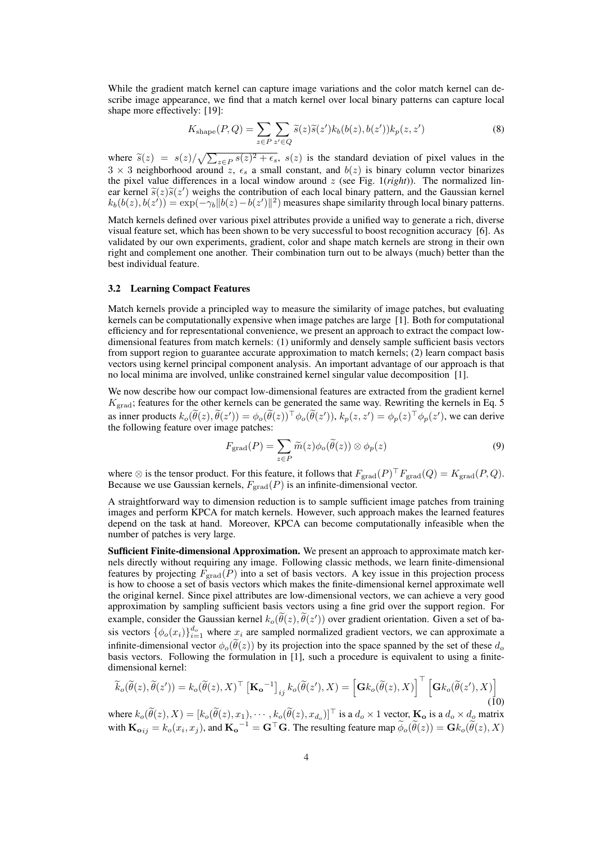While the gradient match kernel can capture image variations and the color match kernel can describe image appearance, we find that a match kernel over local binary patterns can capture local shape more effectively: [19]:

$$
K_{\text{shape}}(P,Q) = \sum_{z \in P} \sum_{z' \in Q} \widetilde{s}(z)\widetilde{s}(z')k_b(b(z),b(z'))k_p(z,z')
$$
 (8)

where  $\widetilde{s}(z) = s(z)/\sqrt{\sum}$  $z \in P$   $s(z)^2 + \epsilon_s$ ,  $s(z)$  is the standard deviation of pixel values in the  $3 \times 3$  neighborhood around z,  $\epsilon_s$  a small constant, and  $b(z)$  is binary column vector binarizes the pixel value differences in a local window around z (see Fig. 1(*right*)). The normalized linear kernel  $\tilde{s}(z)\tilde{s}(z')$  weighs the contribution of each local binary pattern, and the Gaussian kernel  $k_b(b(z), b(z')) = \exp(-\gamma_b ||b(z) - b(z')||^2)$  measures shape similarity through local binary patterns.

Match kernels defined over various pixel attributes provide a unified way to generate a rich, diverse visual feature set, which has been shown to be very successful to boost recognition accuracy [6]. As validated by our own experiments, gradient, color and shape match kernels are strong in their own right and complement one another. Their combination turn out to be always (much) better than the best individual feature.

#### 3.2 Learning Compact Features

Match kernels provide a principled way to measure the similarity of image patches, but evaluating kernels can be computationally expensive when image patches are large [1]. Both for computational efficiency and for representational convenience, we present an approach to extract the compact lowdimensional features from match kernels: (1) uniformly and densely sample sufficient basis vectors from support region to guarantee accurate approximation to match kernels; (2) learn compact basis vectors using kernel principal component analysis. An important advantage of our approach is that no local minima are involved, unlike constrained kernel singular value decomposition [1].

We now describe how our compact low-dimensional features are extracted from the gradient kernel  $K_{\text{grad}}$ ; features for the other kernels can be generated the same way. Rewriting the kernels in Eq. 5 as inner products  $k_o(\tilde{\theta}(z), \tilde{\theta}(z')) = \phi_o(\tilde{\theta}(z))^{\top} \phi_o(\tilde{\theta}(z'))$ ,  $k_p(z, z') = \phi_p(z)^{\top} \phi_p(z')$ , we can derive the following feature over image patches:

$$
F_{\text{grad}}(P) = \sum_{z \in P} \widetilde{m}(z) \phi_o(\widetilde{\theta}(z)) \otimes \phi_p(z)
$$
 (9)

where  $\otimes$  is the tensor product. For this feature, it follows that  $F_{\text{grad}}(P)^{\top}F_{\text{grad}}(Q) = K_{\text{grad}}(P,Q)$ . Because we use Gaussian kernels,  $F_{\text{grad}}(P)$  is an infinite-dimensional vector.

A straightforward way to dimension reduction is to sample sufficient image patches from training images and perform KPCA for match kernels. However, such approach makes the learned features depend on the task at hand. Moreover, KPCA can become computationally infeasible when the number of patches is very large.

Sufficient Finite-dimensional Approximation. We present an approach to approximate match kernels directly without requiring any image. Following classic methods, we learn finite-dimensional features by projecting  $F_{\text{grad}}(P)$  into a set of basis vectors. A key issue in this projection process is how to choose a set of basis vectors which makes the finite-dimensional kernel approximate well the original kernel. Since pixel attributes are low-dimensional vectors, we can achieve a very good approximation by sampling sufficient basis vectors using a fine grid over the support region. For example, consider the Gaussian kernel  $k_o(\widetilde{\theta}(z), \widetilde{\theta}(z'))$  over gradient orientation. Given a set of basis vectors  $\{\phi_o(x_i)\}_{i=1}^{d_o}$  where  $x_i$  are sampled normalized gradient vectors, we can approximate a infinite-dimensional vector  $\phi_o(\hat{\theta}(z))$  by its projection into the space spanned by the set of these  $d_o$ basis vectors. Following the formulation in [1], such a procedure is equivalent to using a finitedimensional kernel:

$$
\widetilde{k}_{o}(\widetilde{\theta}(z),\widetilde{\theta}(z')) = k_{o}(\widetilde{\theta}(z),X)^{\top} [\mathbf{K}_{\mathbf{o}}^{\mathbf{-1}}]_{ij} k_{o}(\widetilde{\theta}(z'),X) = \left[\mathbf{G}k_{o}(\widetilde{\theta}(z),X)\right]^{\top} \left[\mathbf{G}k_{o}(\widetilde{\theta}(z'),X)\right]
$$
\n(10)

where  $k_o(\widetilde{\theta}(z), X) = [k_o(\widetilde{\theta}(z), x_1), \cdots, k_o(\widetilde{\theta}(z), x_{d_o})]^\top$  is a  $d_o \times 1$  vector,  $\mathbf{K_o}$  is a  $d_o \times d_o$  matrix with  $\mathbf{K_{o}}_{ij} = k_o(x_i, x_j)$ , and  $\mathbf{K_o}^{-1} = \mathbf{G}^\top \mathbf{G}$ . The resulting feature map  $\widetilde{\phi}_o(\widetilde{\theta}(z)) = \mathbf{G}k_o(\widetilde{\theta}(z), X)$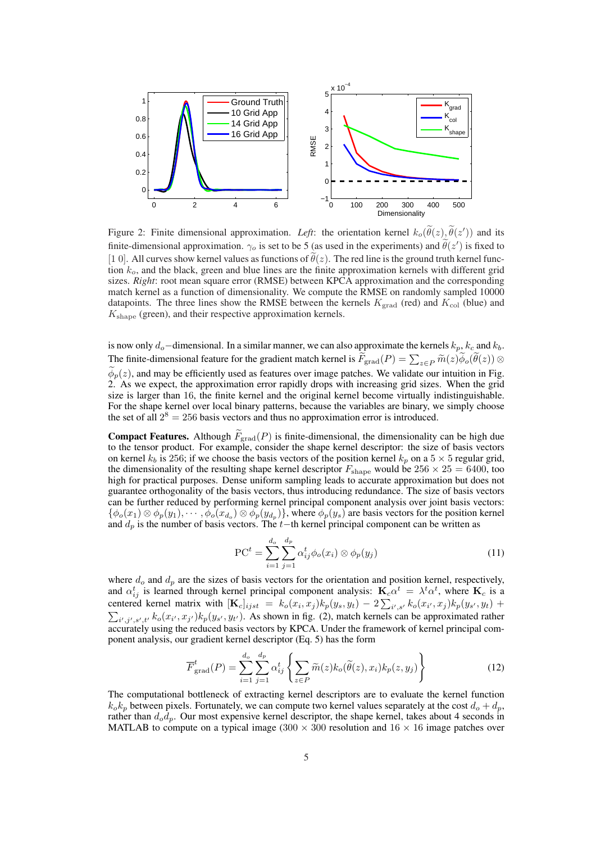

Figure 2: Finite dimensional approximation. Left: the orientation kernel  $k_o(\tilde{\theta}(z), \tilde{\theta}(z'))$  and its finite-dimensional approximation.  $\gamma_o$  is set to be 5 (as used in the experiments) and  $\tilde{\theta}(z')$  is fixed to [1 0]. All curves show kernel values as functions of  $\tilde{\theta}(z)$ . The red line is the ground truth kernel function  $k<sub>o</sub>$ , and the black, green and blue lines are the finite approximation kernels with different grid sizes. *Right*: root mean square error (RMSE) between KPCA approximation and the corresponding match kernel as a function of dimensionality. We compute the RMSE on randomly sampled 10000 datapoints. The three lines show the RMSE between the kernels  $K_{\text{grad}}$  (red) and  $K_{\text{col}}$  (blue) and  $K_{\text{shape}}$  (green), and their respective approximation kernels.

is now only  $d_o$ −dimensional. In a similar manner, we can also approximate the kernels  $k_p$ ,  $k_c$  and  $k_b$ . The finite-dimensional feature for the gradient match kernel is  $\widetilde{F}_{\text{grad}}(P) = \sum_{z \in P} \widetilde{m}(z) \widetilde{\phi}_o(\widetilde{\theta}(z)) \otimes$  $\phi_p(z)$ , and may be efficiently used as features over image patches. We validate our intuition in Fig. 2. As we expect, the approximation error rapidly drops with increasing grid sizes. When the grid size is larger than 16, the finite kernel and the original kernel become virtually indistinguishable. For the shape kernel over local binary patterns, because the variables are binary, we simply choose the set of all  $2^8 = 256$  basis vectors and thus no approximation error is introduced.

**Compact Features.** Although  $\widetilde{F}_{\text{grad}}(P)$  is finite-dimensional, the dimensionality can be high due to the tensor product. For example, consider the shape kernel descriptor: the size of basis vectors on kernel  $k_b$  is 256; if we choose the basis vectors of the position kernel  $k_p$  on a 5  $\times$  5 regular grid, the dimensionality of the resulting shape kernel descriptor  $F_{\text{shape}}$  would be  $256 \times 25 = 6400$ , too high for practical purposes. Dense uniform sampling leads to accurate approximation but does not guarantee orthogonality of the basis vectors, thus introducing redundance. The size of basis vectors can be further reduced by performing kernel principal component analysis over joint basis vectors:  $\{\phi_o(x_1)\otimes\phi_p(y_1),\cdots,\phi_o(x_{d_o})\otimes\phi_p(y_{d_p})\}$ , where  $\phi_p(y_s)$  are basis vectors for the position kernel and  $d_p$  is the number of basis vectors. The t−th kernel principal component can be written as

$$
PC^{t} = \sum_{i=1}^{d_o} \sum_{j=1}^{d_p} \alpha_{ij}^{t} \phi_o(x_i) \otimes \phi_p(y_j)
$$
 (11)

where  $d<sub>o</sub>$  and  $d<sub>p</sub>$  are the sizes of basis vectors for the orientation and position kernel, respectively, and  $\alpha_{ij}^t$  is learned through kernel principal component analysis:  $\mathbf{K}_c \alpha^t = \lambda^t \alpha^t$ , where  $\mathbf{K}_c$  is a centered kernel matrix with  $[\mathbf{K}_c]_{ijst} = k_o(x_i, x_j)k_p(y_s, y_t) - 2\sum_{i',s'} k_o(x_{i'}, x_j)k_p(y_{s'}, y_t) +$  $_{i',j',s',t'} k_o(x_{i'}, x_{j'}) k_p(y_{s'}, y_{t'})$ . As shown in fig. (2), match kernels can be approximated rather accurately using the reduced basis vectors by KPCA. Under the framework of kernel principal component analysis, our gradient kernel descriptor (Eq. 5) has the form

$$
\overline{F}_{\text{grad}}^{t}(P) = \sum_{i=1}^{d_o} \sum_{j=1}^{d_p} \alpha_{ij}^t \left\{ \sum_{z \in P} \widetilde{m}(z) k_o(\widetilde{\theta}(z), x_i) k_p(z, y_j) \right\}
$$
(12)

The computational bottleneck of extracting kernel descriptors are to evaluate the kernel function  $k_0k_p$  between pixels. Fortunately, we can compute two kernel values separately at the cost  $d_0 + d_p$ , rather than  $d_o d_p$ . Our most expensive kernel descriptor, the shape kernel, takes about 4 seconds in MATLAB to compute on a typical image (300  $\times$  300 resolution and 16  $\times$  16 image patches over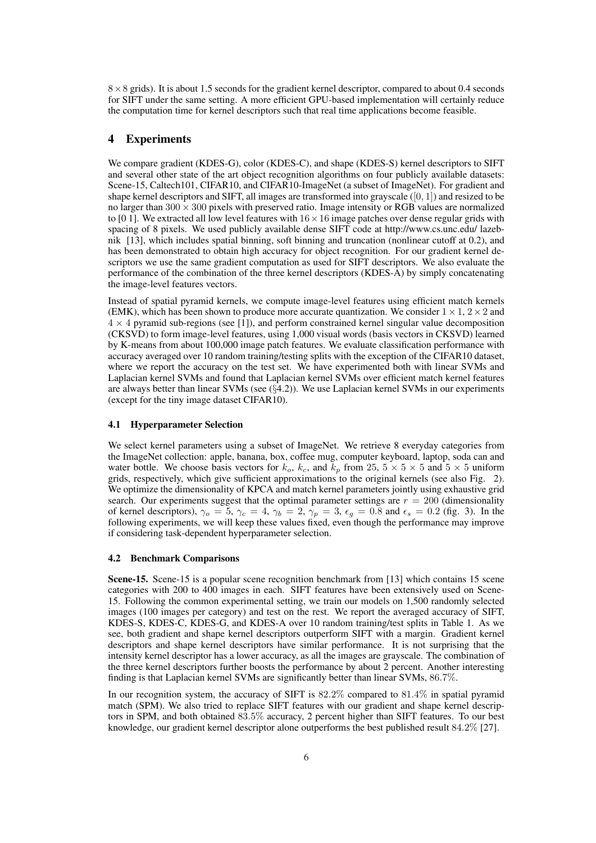$8 \times 8$  grids). It is about 1.5 seconds for the gradient kernel descriptor, compared to about 0.4 seconds for SIFT under the same setting. A more efficient GPU-based implementation will certainly reduce the computation time for kernel descriptors such that real time applications become feasible.

# 4 Experiments

We compare gradient (KDES-G), color (KDES-C), and shape (KDES-S) kernel descriptors to SIFT and several other state of the art object recognition algorithms on four publicly available datasets: Scene-15, Caltech101, CIFAR10, and CIFAR10-ImageNet (a subset of ImageNet). For gradient and shape kernel descriptors and SIFT, all images are transformed into grayscale  $([0, 1])$  and resized to be no larger than  $300 \times 300$  pixels with preserved ratio. Image intensity or RGB values are normalized to [0 1]. We extracted all low level features with  $16 \times 16$  image patches over dense regular grids with spacing of 8 pixels. We used publicly available dense SIFT code at http://www.cs.unc.edu/ lazebnik [13], which includes spatial binning, soft binning and truncation (nonlinear cutoff at 0.2), and has been demonstrated to obtain high accuracy for object recognition. For our gradient kernel descriptors we use the same gradient computation as used for SIFT descriptors. We also evaluate the performance of the combination of the three kernel descriptors (KDES-A) by simply concatenating the image-level features vectors.

Instead of spatial pyramid kernels, we compute image-level features using efficient match kernels (EMK), which has been shown to produce more accurate quantization. We consider  $1 \times 1$ ,  $2 \times 2$  and  $4 \times 4$  pyramid sub-regions (see [1]), and perform constrained kernel singular value decomposition (CKSVD) to form image-level features, using 1,000 visual words (basis vectors in CKSVD) learned by K-means from about 100,000 image patch features. We evaluate classification performance with accuracy averaged over 10 random training/testing splits with the exception of the CIFAR10 dataset, where we report the accuracy on the test set. We have experimented both with linear SVMs and Laplacian kernel SVMs and found that Laplacian kernel SVMs over efficient match kernel features are always better than linear SVMs (see (§4.2)). We use Laplacian kernel SVMs in our experiments (except for the tiny image dataset CIFAR10).

## 4.1 Hyperparameter Selection

We select kernel parameters using a subset of ImageNet. We retrieve 8 everyday categories from the ImageNet collection: apple, banana, box, coffee mug, computer keyboard, laptop, soda can and water bottle. We choose basis vectors for  $k_o$ ,  $k_c$ , and  $k_p$  from 25,  $5 \times 5 \times 5$  and  $5 \times 5$  uniform grids, respectively, which give sufficient approximations to the original kernels (see also Fig. 2). We optimize the dimensionality of KPCA and match kernel parameters jointly using exhaustive grid search. Our experiments suggest that the optimal parameter settings are  $r = 200$  (dimensionality of kernel descriptors),  $\gamma_o = 5$ ,  $\gamma_c = 4$ ,  $\gamma_b = 2$ ,  $\gamma_p = 3$ ,  $\epsilon_g = 0.8$  and  $\epsilon_s = 0.2$  (fig. 3). In the following experiments, we will keep these values fixed, even though the performance may improve if considering task-dependent hyperparameter selection.

#### 4.2 Benchmark Comparisons

Scene-15. Scene-15 is a popular scene recognition benchmark from [13] which contains 15 scene categories with 200 to 400 images in each. SIFT features have been extensively used on Scene-15. Following the common experimental setting, we train our models on 1,500 randomly selected images (100 images per category) and test on the rest. We report the averaged accuracy of SIFT, KDES-S, KDES-C, KDES-G, and KDES-A over 10 random training/test splits in Table 1. As we see, both gradient and shape kernel descriptors outperform SIFT with a margin. Gradient kernel descriptors and shape kernel descriptors have similar performance. It is not surprising that the intensity kernel descriptor has a lower accuracy, as all the images are grayscale. The combination of the three kernel descriptors further boosts the performance by about 2 percent. Another interesting finding is that Laplacian kernel SVMs are significantly better than linear SVMs, 86.7%.

In our recognition system, the accuracy of SIFT is 82.2% compared to 81.4% in spatial pyramid match (SPM). We also tried to replace SIFT features with our gradient and shape kernel descriptors in SPM, and both obtained 83.5% accuracy, 2 percent higher than SIFT features. To our best knowledge, our gradient kernel descriptor alone outperforms the best published result 84.2% [27].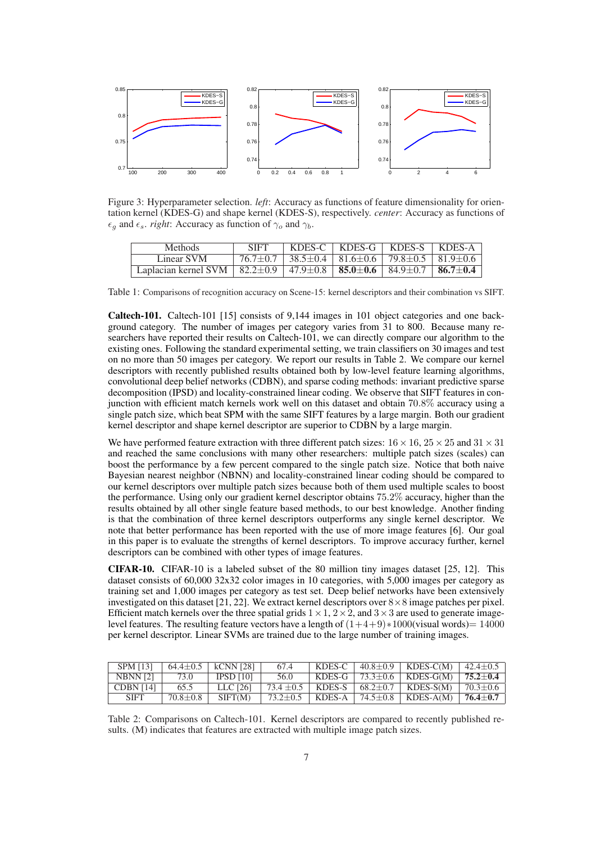

Figure 3: Hyperparameter selection. *left*: Accuracy as functions of feature dimensionality for orientation kernel (KDES-G) and shape kernel (KDES-S), respectively. *center*: Accuracy as functions of  $\epsilon_g$  and  $\epsilon_s$ . *right*: Accuracy as function of  $\gamma_o$  and  $\gamma_b$ .

| Methods                                                                                                                               | <b>SIFT</b> |                                                                                    | KDES-C   KDES-G   KDES-S   KDES-A |  |
|---------------------------------------------------------------------------------------------------------------------------------------|-------------|------------------------------------------------------------------------------------|-----------------------------------|--|
| Linear SVM                                                                                                                            |             | $76.7 \pm 0.7$   38.5 $\pm$ 0.4   81.6 $\pm$ 0.6   79.8 $\pm$ 0.5   81.9 $\pm$ 0.6 |                                   |  |
| Laplacian kernel SVM   $82.2 \pm 0.9$   $47.9 \pm 0.8$   <b>85.0</b> $\pm$ <b>0.6</b>   $84.9 \pm 0.7$   <b>86.7</b> $\pm$ <b>0.4</b> |             |                                                                                    |                                   |  |

Table 1: Comparisons of recognition accuracy on Scene-15: kernel descriptors and their combination vs SIFT.

Caltech-101. Caltech-101 [15] consists of 9,144 images in 101 object categories and one background category. The number of images per category varies from 31 to 800. Because many researchers have reported their results on Caltech-101, we can directly compare our algorithm to the existing ones. Following the standard experimental setting, we train classifiers on 30 images and test on no more than 50 images per category. We report our results in Table 2. We compare our kernel descriptors with recently published results obtained both by low-level feature learning algorithms, convolutional deep belief networks (CDBN), and sparse coding methods: invariant predictive sparse decomposition (IPSD) and locality-constrained linear coding. We observe that SIFT features in conjunction with efficient match kernels work well on this dataset and obtain 70.8% accuracy using a single patch size, which beat SPM with the same SIFT features by a large margin. Both our gradient kernel descriptor and shape kernel descriptor are superior to CDBN by a large margin.

We have performed feature extraction with three different patch sizes:  $16 \times 16$ ,  $25 \times 25$  and  $31 \times 31$ and reached the same conclusions with many other researchers: multiple patch sizes (scales) can boost the performance by a few percent compared to the single patch size. Notice that both naive Bayesian nearest neighbor (NBNN) and locality-constrained linear coding should be compared to our kernel descriptors over multiple patch sizes because both of them used multiple scales to boost the performance. Using only our gradient kernel descriptor obtains 75.2% accuracy, higher than the results obtained by all other single feature based methods, to our best knowledge. Another finding is that the combination of three kernel descriptors outperforms any single kernel descriptor. We note that better performance has been reported with the use of more image features [6]. Our goal in this paper is to evaluate the strengths of kernel descriptors. To improve accuracy further, kernel descriptors can be combined with other types of image features.

CIFAR-10. CIFAR-10 is a labeled subset of the 80 million tiny images dataset [25, 12]. This dataset consists of 60,000 32x32 color images in 10 categories, with 5,000 images per category as training set and 1,000 images per category as test set. Deep belief networks have been extensively investigated on this dataset [21, 22]. We extract kernel descriptors over  $8 \times 8$  image patches per pixel. Efficient match kernels over the three spatial grids  $1 \times 1$ ,  $2 \times 2$ , and  $3 \times 3$  are used to generate imagelevel features. The resulting feature vectors have a length of  $(1+4+9) * 1000$  (visual words)= 14000 per kernel descriptor. Linear SVMs are trained due to the large number of training images.

| <b>SPM [13]</b>  |          | $64.4 \pm 0.5$   kCNN [28] | 67.4 |  | KDES-C   $40.8 \pm 0.9$   KDES-C(M)   $42.4 \pm 0.5$                  |  |
|------------------|----------|----------------------------|------|--|-----------------------------------------------------------------------|--|
| NBNN [2]         | 73.0     | $IPSD$ [10]                | 56.0 |  | KDES-G   73.3 $\pm$ 0.6   KDES-G(M)   75.2 $\pm$ 0.4                  |  |
| <b>CDBN [14]</b> | 65.5     | LLC [26]                   |      |  | 73.4 $\pm$ 0.5   KDES-S   68.2 $\pm$ 0.7   KDES-S(M)   70.3 $\pm$ 0.6 |  |
| <b>SIFT</b>      | 70.8+0.8 | SIFT(M)                    |      |  | 73.2 $\pm$ 0.5   KDES-A   74.5 $\pm$ 0.8   KDES-A(M)   76.4 $\pm$ 0.7 |  |

Table 2: Comparisons on Caltech-101. Kernel descriptors are compared to recently published results. (M) indicates that features are extracted with multiple image patch sizes.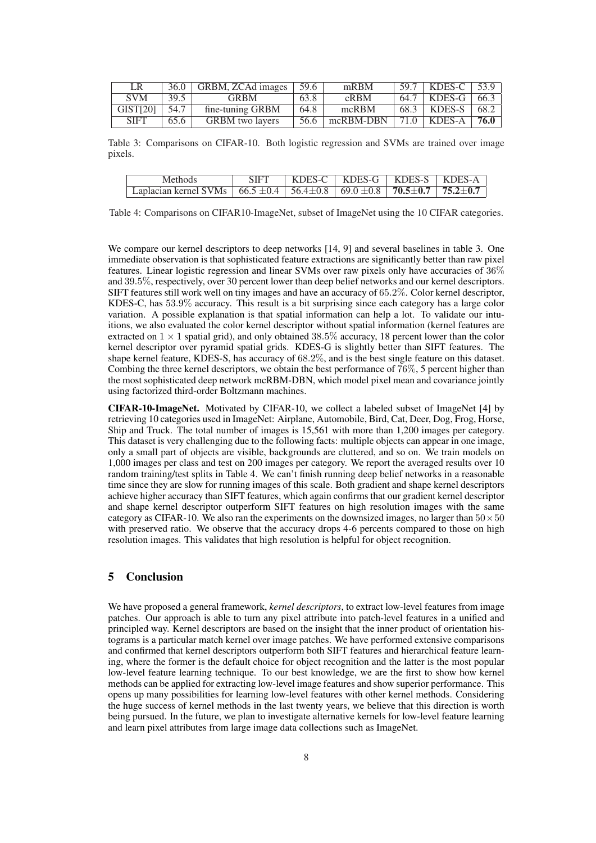| LR                   | 36.0   | GRBM, ZCAd images $\vert$ 59.6 |      | mRBM      | $59.7$   KDES-C   53.9 |      |
|----------------------|--------|--------------------------------|------|-----------|------------------------|------|
| <b>SVM</b>           | $39.5$ | <b>GRBM</b>                    | 63.8 | CRBM      | $64.7$   KDES-G        | 66.3 |
| GIST <sub>[20]</sub> | 54.7   | fine-tuning GRBM               | 64.8 | mcRBM     | $68.3$   KDES-S        | 68.2 |
| <b>SIFT</b>          | 65.6   | <b>GRBM</b> two layers         | 56.6 | mcRBM-DBN | $71.0$ KDES-A          | 76.0 |

Table 3: Comparisons on CIFAR-10. Both logistic regression and SVMs are trained over image pixels.

| Methods                                                                                                                                        | <b>SIFT</b> | $\vert$ KDES-C $\vert$ KDES-G $\vert$ KDES-S $\vert$ KDES-A |  |
|------------------------------------------------------------------------------------------------------------------------------------------------|-------------|-------------------------------------------------------------|--|
| Laplacian kernel SVMs $\left  \begin{array}{c c} 66.5 \pm 0.4 & 56.4 \pm 0.8 & 69.0 \pm 0.8 & 70.5 \pm 0.7 & 75.2 \pm 0.7 \end{array} \right $ |             |                                                             |  |

Table 4: Comparisons on CIFAR10-ImageNet, subset of ImageNet using the 10 CIFAR categories.

We compare our kernel descriptors to deep networks [14, 9] and several baselines in table 3. One immediate observation is that sophisticated feature extractions are significantly better than raw pixel features. Linear logistic regression and linear SVMs over raw pixels only have accuracies of 36% and 39.5%, respectively, over 30 percent lower than deep belief networks and our kernel descriptors. SIFT features still work well on tiny images and have an accuracy of 65.2%. Color kernel descriptor, KDES-C, has 53.9% accuracy. This result is a bit surprising since each category has a large color variation. A possible explanation is that spatial information can help a lot. To validate our intuitions, we also evaluated the color kernel descriptor without spatial information (kernel features are extracted on  $1 \times 1$  spatial grid), and only obtained 38.5% accuracy, 18 percent lower than the color kernel descriptor over pyramid spatial grids. KDES-G is slightly better than SIFT features. The shape kernel feature, KDES-S, has accuracy of 68.2%, and is the best single feature on this dataset. Combing the three kernel descriptors, we obtain the best performance of 76%, 5 percent higher than the most sophisticated deep network mcRBM-DBN, which model pixel mean and covariance jointly using factorized third-order Boltzmann machines.

CIFAR-10-ImageNet. Motivated by CIFAR-10, we collect a labeled subset of ImageNet [4] by retrieving 10 categories used in ImageNet: Airplane, Automobile, Bird, Cat, Deer, Dog, Frog, Horse, Ship and Truck. The total number of images is 15,561 with more than 1,200 images per category. This dataset is very challenging due to the following facts: multiple objects can appear in one image, only a small part of objects are visible, backgrounds are cluttered, and so on. We train models on 1,000 images per class and test on 200 images per category. We report the averaged results over 10 random training/test splits in Table 4. We can't finish running deep belief networks in a reasonable time since they are slow for running images of this scale. Both gradient and shape kernel descriptors achieve higher accuracy than SIFT features, which again confirms that our gradient kernel descriptor and shape kernel descriptor outperform SIFT features on high resolution images with the same category as CIFAR-10. We also ran the experiments on the downsized images, no larger than  $50 \times 50$ with preserved ratio. We observe that the accuracy drops 4-6 percents compared to those on high resolution images. This validates that high resolution is helpful for object recognition.

# 5 Conclusion

We have proposed a general framework, *kernel descriptors*, to extract low-level features from image patches. Our approach is able to turn any pixel attribute into patch-level features in a unified and principled way. Kernel descriptors are based on the insight that the inner product of orientation histograms is a particular match kernel over image patches. We have performed extensive comparisons and confirmed that kernel descriptors outperform both SIFT features and hierarchical feature learning, where the former is the default choice for object recognition and the latter is the most popular low-level feature learning technique. To our best knowledge, we are the first to show how kernel methods can be applied for extracting low-level image features and show superior performance. This opens up many possibilities for learning low-level features with other kernel methods. Considering the huge success of kernel methods in the last twenty years, we believe that this direction is worth being pursued. In the future, we plan to investigate alternative kernels for low-level feature learning and learn pixel attributes from large image data collections such as ImageNet.